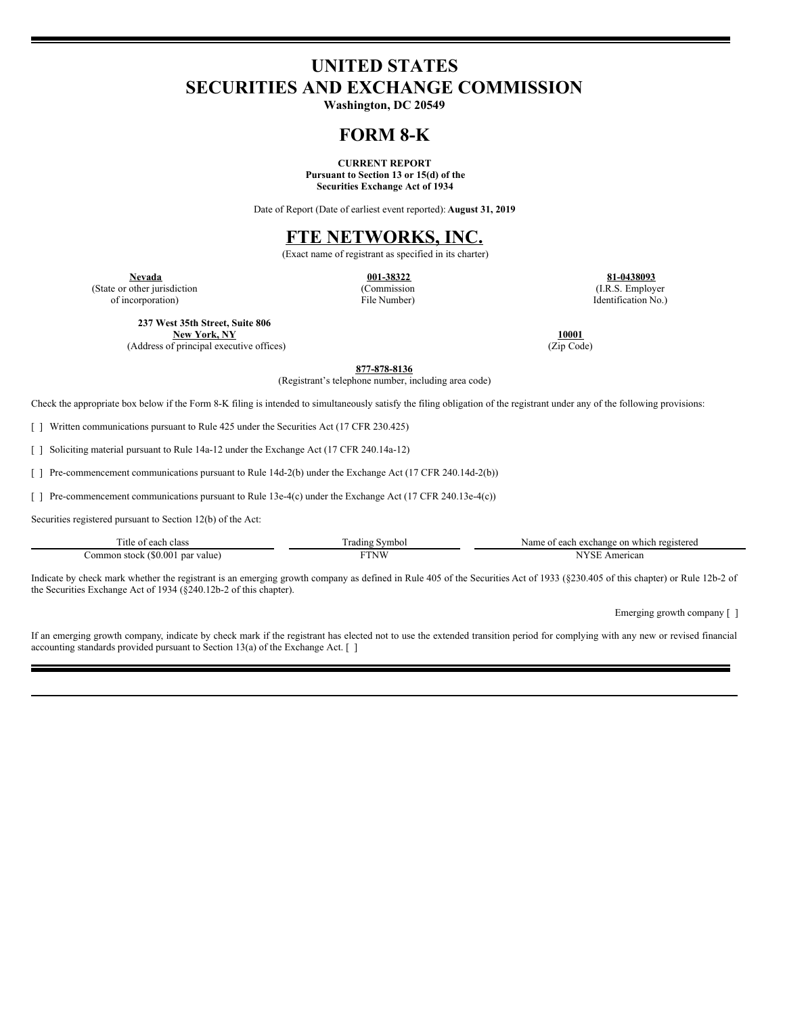# **UNITED STATES SECURITIES AND EXCHANGE COMMISSION**

**Washington, DC 20549**

## **FORM 8-K**

**CURRENT REPORT Pursuant to Section 13 or 15(d) of the Securities Exchange Act of 1934**

Date of Report (Date of earliest event reported): **August 31, 2019**

## **FTE NETWORKS, INC.**

(Exact name of registrant as specified in its charter)

(State or other jurisdiction of incorporation)

(Commission File Number)

**Nevada 001-38322 81-0438093** (I.R.S. Employer Identification No.)

**237 West 35th Street, Suite 806 New York, NY 10001**

(Address of principal executive offices) (Zip Code)

**877-878-8136**

(Registrant's telephone number, including area code)

Check the appropriate box below if the Form 8-K filing is intended to simultaneously satisfy the filing obligation of the registrant under any of the following provisions:

[ ] Written communications pursuant to Rule 425 under the Securities Act (17 CFR 230.425)

[ ] Soliciting material pursuant to Rule 14a-12 under the Exchange Act (17 CFR 240.14a-12)

[ ] Pre-commencement communications pursuant to Rule 14d-2(b) under the Exchange Act (17 CFR 240.14d-2(b))

[ ] Pre-commencement communications pursuant to Rule 13e-4(c) under the Exchange Act (17 CFR 240.13e-4(c))

Securities registered pursuant to Section 12(b) of the Act:

| $\sim$<br>itle of<br>each<br>class   | Nymbol –<br>rading | which registered<br>Name<br>t each exchange on v<br>$\degree$ 01 |
|--------------------------------------|--------------------|------------------------------------------------------------------|
| (50.00)<br>Common stock<br>par value | FTNW               | 'SE<br>American<br>N                                             |

Indicate by check mark whether the registrant is an emerging growth company as defined in Rule 405 of the Securities Act of 1933 (§230.405 of this chapter) or Rule 12b-2 of the Securities Exchange Act of 1934 (§240.12b-2 of this chapter).

Emerging growth company [ ]

If an emerging growth company, indicate by check mark if the registrant has elected not to use the extended transition period for complying with any new or revised financial accounting standards provided pursuant to Section 13(a) of the Exchange Act. [ ]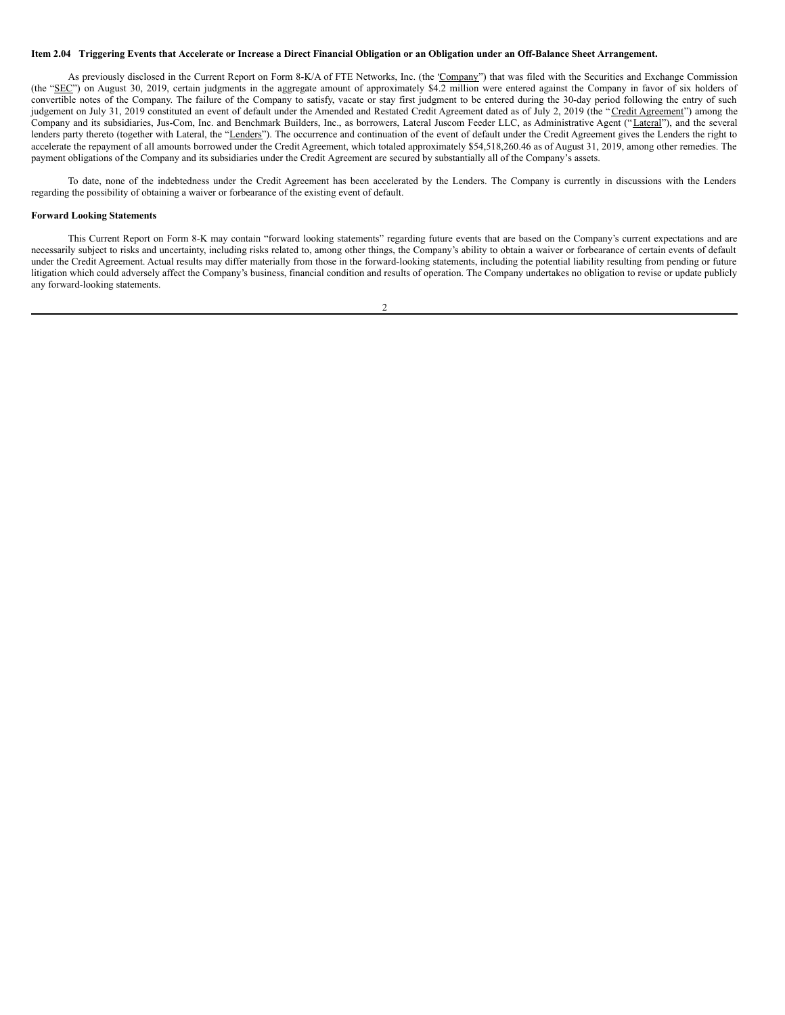#### Item 2.04 Triggering Events that Accelerate or Increase a Direct Financial Obligation or an Obligation under an Off-Balance Sheet Arrangement.

As previously disclosed in the Current Report on Form 8-K/A of FTE Networks, Inc. (the 'Company'') that was filed with the Securities and Exchange Commission (the "SEC") on August 30, 2019, certain judgments in the aggregate amount of approximately \$4.2 million were entered against the Company in favor of six holders of convertible notes of the Company. The failure of the Company to satisfy, vacate or stay first judgment to be entered during the 30-day period following the entry of such judgement on July 31, 2019 constituted an event of default under the Amended and Restated Credit Agreement dated as of July 2, 2019 (the "Credit Agreement") among the Company and its subsidiaries, Jus-Com, Inc. and Benchmark Builders, Inc., as borrowers, Lateral Juscom Feeder LLC, as Administrative Agent ("Lateral"), and the several lenders party thereto (together with Lateral, the "Lenders"). The occurrence and continuation of the event of default under the Credit Agreement gives the Lenders the right to accelerate the repayment of all amounts borrowed under the Credit Agreement, which totaled approximately \$54,518,260.46 as of August 31, 2019, among other remedies. The payment obligations of the Company and its subsidiaries under the Credit Agreement are secured by substantially all of the Company's assets.

To date, none of the indebtedness under the Credit Agreement has been accelerated by the Lenders. The Company is currently in discussions with the Lenders regarding the possibility of obtaining a waiver or forbearance of the existing event of default.

#### **Forward Looking Statements**

This Current Report on Form 8-K may contain "forward looking statements" regarding future events that are based on the Company's current expectations and are necessarily subject to risks and uncertainty, including risks related to, among other things, the Company's ability to obtain a waiver or forbearance of certain events of default under the Credit Agreement. Actual results may differ materially from those in the forward-looking statements, including the potential liability resulting from pending or future litigation which could adversely affect the Company's business, financial condition and results of operation. The Company undertakes no obligation to revise or update publicly any forward-looking statements.

2